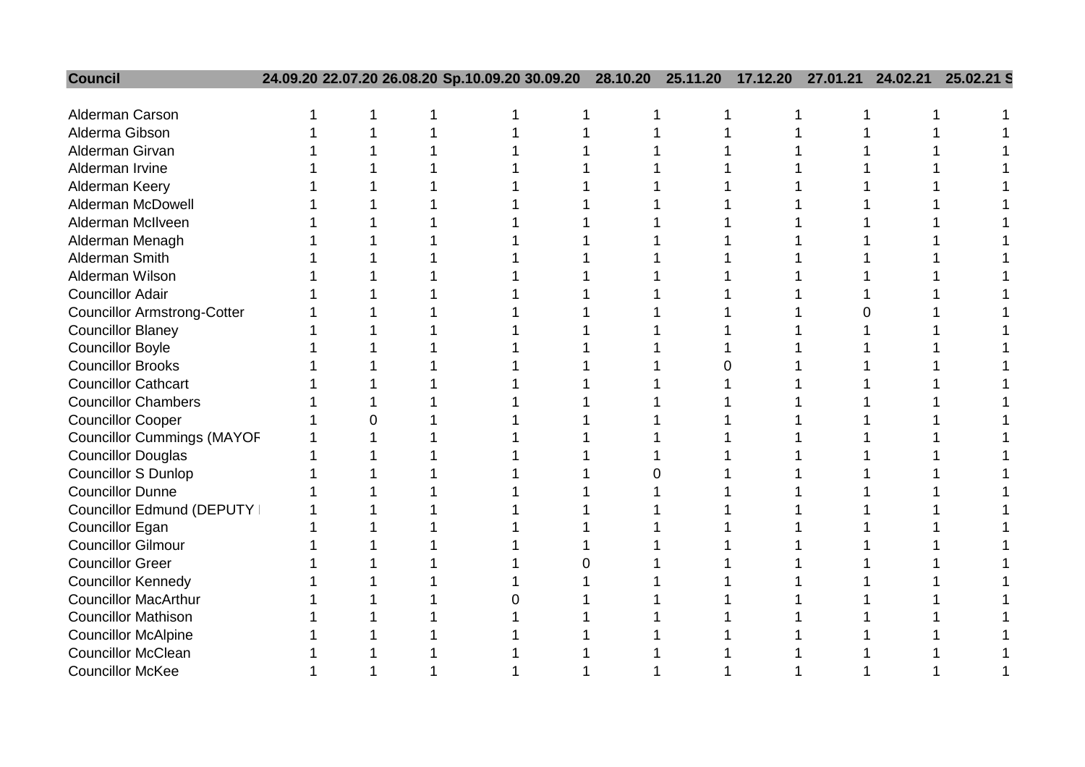| <b>Council</b>                     |  | 24.09.20 22.07.20 26.08.20 Sp.10.09.20 30.09.20 | 28.10.20 | 25.11.20 | 17.12.20 | 27.01.21 | 24.02.21 | 25.02.21 S |
|------------------------------------|--|-------------------------------------------------|----------|----------|----------|----------|----------|------------|
|                                    |  |                                                 |          |          |          |          |          |            |
| Alderman Carson                    |  |                                                 |          |          |          |          |          |            |
| Alderma Gibson                     |  |                                                 |          |          |          |          |          |            |
| Alderman Girvan                    |  |                                                 |          |          |          |          |          |            |
| Alderman Irvine                    |  |                                                 |          |          |          |          |          |            |
| Alderman Keery                     |  |                                                 |          |          |          |          |          |            |
| <b>Alderman McDowell</b>           |  |                                                 |          |          |          |          |          |            |
| Alderman McIlveen                  |  |                                                 |          |          |          |          |          |            |
| Alderman Menagh                    |  |                                                 |          |          |          |          |          |            |
| Alderman Smith                     |  |                                                 |          |          |          |          |          |            |
| Alderman Wilson                    |  |                                                 |          |          |          |          |          |            |
| <b>Councillor Adair</b>            |  |                                                 |          |          |          |          |          |            |
| <b>Councillor Armstrong-Cotter</b> |  |                                                 |          |          |          |          |          |            |
| <b>Councillor Blaney</b>           |  |                                                 |          |          |          |          |          |            |
| <b>Councillor Boyle</b>            |  |                                                 |          |          |          |          |          |            |
| <b>Councillor Brooks</b>           |  |                                                 |          |          |          |          |          |            |
| <b>Councillor Cathcart</b>         |  |                                                 |          |          |          |          |          |            |
| <b>Councillor Chambers</b>         |  |                                                 |          |          |          |          |          |            |
| <b>Councillor Cooper</b>           |  |                                                 |          |          |          |          |          |            |
| <b>Councillor Cummings (MAYOF</b>  |  |                                                 |          |          |          |          |          |            |
| <b>Councillor Douglas</b>          |  |                                                 |          |          |          |          |          |            |
| <b>Councillor S Dunlop</b>         |  |                                                 |          |          |          |          |          |            |
| <b>Councillor Dunne</b>            |  |                                                 |          |          |          |          |          |            |
| Councillor Edmund (DEPUTY          |  |                                                 |          |          |          |          |          |            |
| <b>Councillor Egan</b>             |  |                                                 |          |          |          |          |          |            |
| <b>Councillor Gilmour</b>          |  |                                                 |          |          |          |          |          |            |
| <b>Councillor Greer</b>            |  |                                                 |          |          |          |          |          |            |
| <b>Councillor Kennedy</b>          |  |                                                 |          |          |          |          |          |            |
| <b>Councillor MacArthur</b>        |  |                                                 |          |          |          |          |          |            |
| <b>Councillor Mathison</b>         |  |                                                 |          |          |          |          |          |            |
| <b>Councillor McAlpine</b>         |  |                                                 |          |          |          |          |          |            |
| <b>Councillor McClean</b>          |  |                                                 |          |          |          |          |          |            |
| <b>Councillor McKee</b>            |  |                                                 |          |          |          |          |          |            |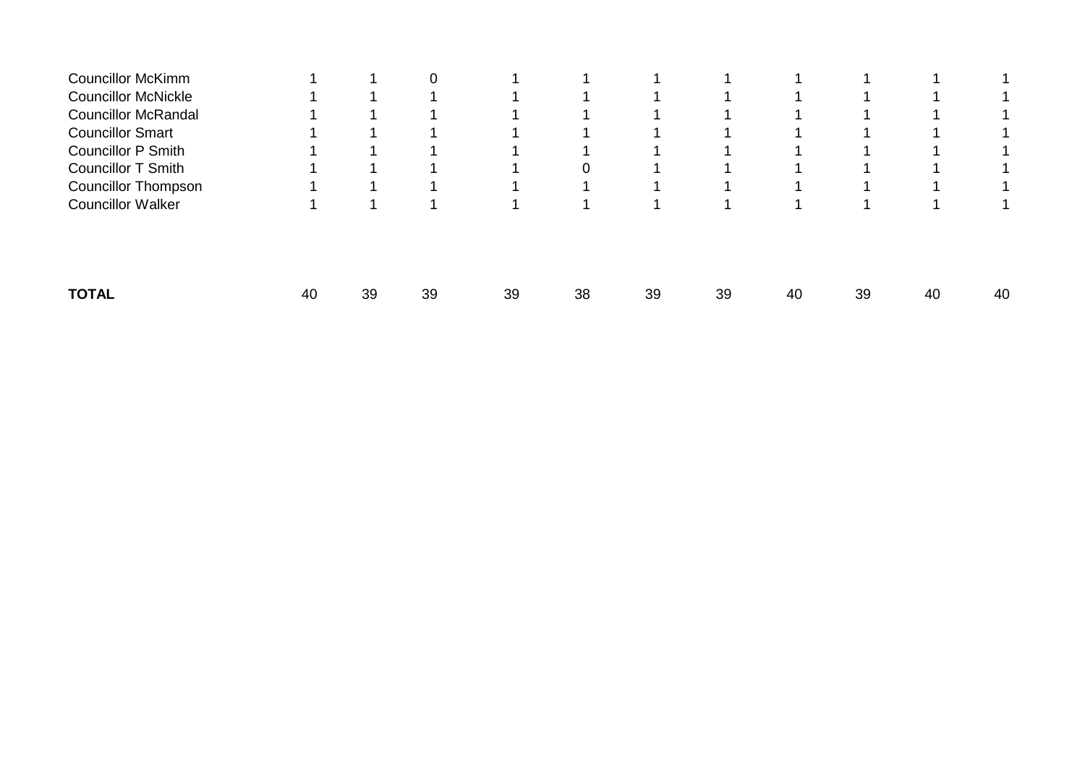| <b>Councillor McKimm</b>   |    |    |    |    |    |    |    |    |    |    |    |
|----------------------------|----|----|----|----|----|----|----|----|----|----|----|
| <b>Councillor McNickle</b> |    |    |    |    |    |    |    |    |    |    |    |
| <b>Councillor McRandal</b> |    |    |    |    |    |    |    |    |    |    |    |
| <b>Councillor Smart</b>    |    |    |    |    |    |    |    |    |    |    |    |
| <b>Councillor P Smith</b>  |    |    |    |    |    |    |    |    |    |    |    |
| <b>Councillor T Smith</b>  |    |    |    |    | 0  |    |    |    |    |    |    |
| <b>Councillor Thompson</b> |    |    |    |    |    |    |    |    |    |    |    |
| <b>Councillor Walker</b>   |    |    |    |    |    |    |    |    |    |    |    |
|                            |    |    |    |    |    |    |    |    |    |    |    |
| <b>TOTAL</b>               | 40 | 39 | 39 | 39 | 38 | 39 | 39 | 40 | 39 | 40 | 40 |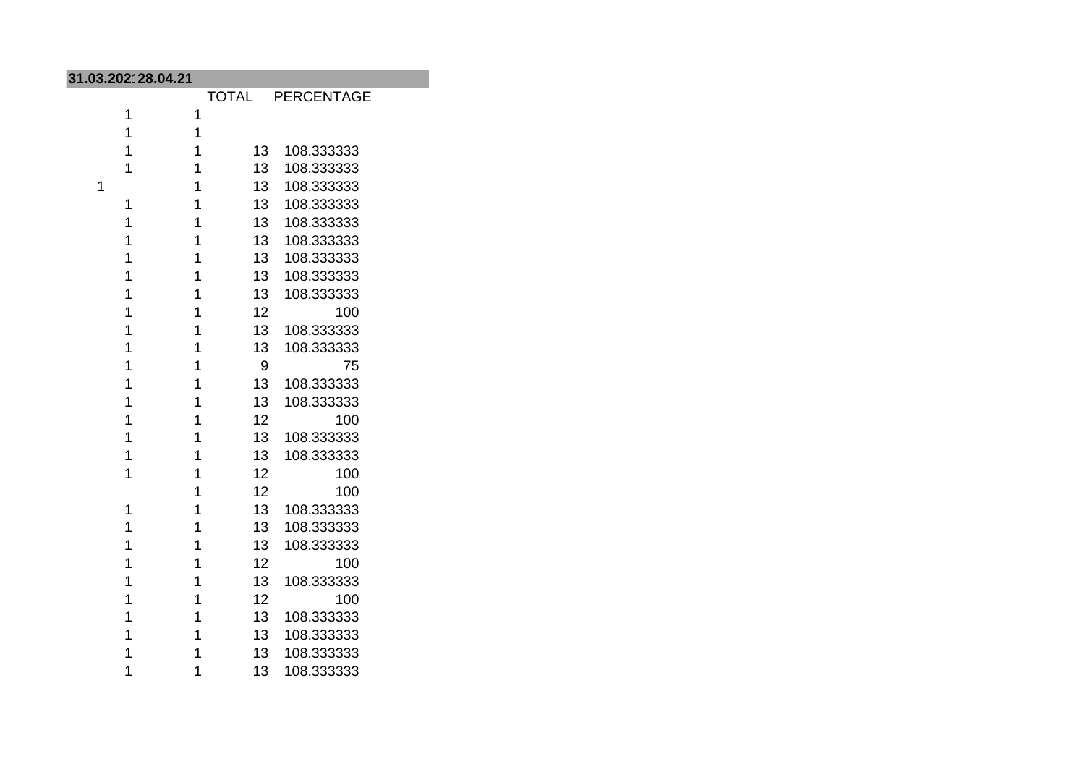| 31.03.202128.04.21 |   |                 |                  |  |  |  |
|--------------------|---|-----------------|------------------|--|--|--|
|                    |   |                 | TOTAL PERCENTAGE |  |  |  |
| 1                  | 1 |                 |                  |  |  |  |
| 1                  | 1 |                 |                  |  |  |  |
| 1                  | 1 | 13 <sup>°</sup> | 108.333333       |  |  |  |
| 1                  | 1 | 13              | 108.333333       |  |  |  |
| 1                  | 1 | 13 <sup>7</sup> | 108.333333       |  |  |  |
| 1                  | 1 | 13 <sup>7</sup> | 108.333333       |  |  |  |
| 1                  | 1 | 13              | 108.333333       |  |  |  |
| 1                  | 1 | 13              | 108.333333       |  |  |  |
| 1                  | 1 | 13              | 108.333333       |  |  |  |
| 1                  | 1 | 13              | 108.333333       |  |  |  |
| 1                  | 1 | 13              | 108.333333       |  |  |  |
| 1                  | 1 | 12              | 100              |  |  |  |
| 1                  | 1 | 13              | 108.333333       |  |  |  |
| 1                  | 1 | 13              | 108.333333       |  |  |  |
| 1                  | 1 | 9               | 75               |  |  |  |
| 1                  | 1 | 13              | 108.333333       |  |  |  |
| 1                  | 1 | 13              | 108.333333       |  |  |  |
| 1                  | 1 | 12              | 100              |  |  |  |
| 1                  | 1 | 13              | 108.333333       |  |  |  |
| 1                  | 1 | 13              | 108.333333       |  |  |  |
| 1                  | 1 | 12              | 100              |  |  |  |
|                    | 1 | 12              | 100              |  |  |  |
| 1                  | 1 | 13              | 108.333333       |  |  |  |
| 1                  | 1 | 13              | 108.333333       |  |  |  |
| 1                  | 1 | 13              | 108.333333       |  |  |  |
| 1                  | 1 | 12              | 100              |  |  |  |
| 1                  | 1 | 13              | 108.333333       |  |  |  |
| 1                  | 1 | 12              | 100              |  |  |  |
| 1                  | 1 | 13              | 108.333333       |  |  |  |
| 1                  | 1 | 13 <sup>7</sup> | 108.333333       |  |  |  |
| 1                  | 1 | 13 <sup>7</sup> | 108.333333       |  |  |  |
| 1                  | 1 | 13              | 108.333333       |  |  |  |